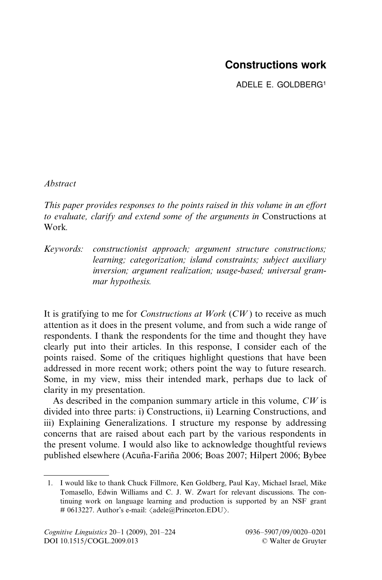# Constructions work

ADELE E. GOLDBERG<sup>1</sup>

Abstract

This paper provides responses to the points raised in this volume in an effort to evaluate, clarify and extend some of the arguments in Constructions at Work.

Keywords: constructionist approach; argument structure constructions; learning; categorization; island constraints; subject auxiliary inversion; argument realization; usage-based; universal grammar hypothesis.

It is gratifying to me for *Constructions at Work*  $(CW)$  to receive as much attention as it does in the present volume, and from such a wide range of respondents. I thank the respondents for the time and thought they have clearly put into their articles. In this response, I consider each of the points raised. Some of the critiques highlight questions that have been addressed in more recent work; others point the way to future research. Some, in my view, miss their intended mark, perhaps due to lack of clarity in my presentation.

As described in the companion summary article in this volume, CW is divided into three parts: i) Constructions, ii) Learning Constructions, and iii) Explaining Generalizations. I structure my response by addressing concerns that are raised about each part by the various respondents in the present volume. I would also like to acknowledge thoughtful reviews published elsewhere (Acuña-Fariña 2006; Boas 2007; Hilpert 2006; Bybee

<sup>1.</sup> I would like to thank Chuck Fillmore, Ken Goldberg, Paul Kay, Michael Israel, Mike Tomasello, Edwin Williams and C. J. W. Zwart for relevant discussions. The continuing work on language learning and production is supported by an NSF grant # 0613227. Author's e-mail:  $\langle \text{adele@Princeton.EDU} \rangle$ .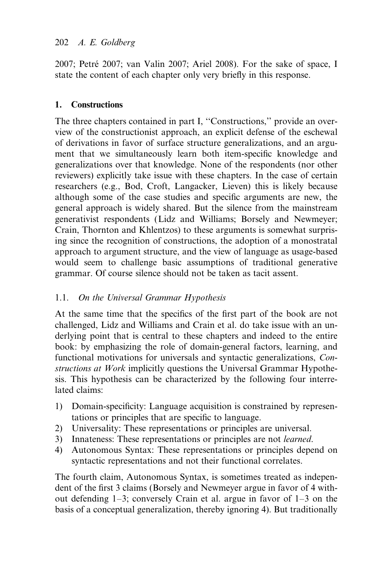2007; Petré 2007; van Valin 2007; Ariel 2008). For the sake of space, I state the content of each chapter only very briefly in this response.

### 1. Constructions

The three chapters contained in part I, ''Constructions,'' provide an overview of the constructionist approach, an explicit defense of the eschewal of derivations in favor of surface structure generalizations, and an argument that we simultaneously learn both item-specific knowledge and generalizations over that knowledge. None of the respondents (nor other reviewers) explicitly take issue with these chapters. In the case of certain researchers (e.g., Bod, Croft, Langacker, Lieven) this is likely because although some of the case studies and specific arguments are new, the general approach is widely shared. But the silence from the mainstream generativist respondents (Lidz and Williams; Borsely and Newmeyer; Crain, Thornton and Khlentzos) to these arguments is somewhat surprising since the recognition of constructions, the adoption of a monostratal approach to argument structure, and the view of language as usage-based would seem to challenge basic assumptions of traditional generative grammar. Of course silence should not be taken as tacit assent.

### 1.1. On the Universal Grammar Hypothesis

At the same time that the specifics of the first part of the book are not challenged, Lidz and Williams and Crain et al. do take issue with an underlying point that is central to these chapters and indeed to the entire book: by emphasizing the role of domain-general factors, learning, and functional motivations for universals and syntactic generalizations, Constructions at Work implicitly questions the Universal Grammar Hypothesis. This hypothesis can be characterized by the following four interrelated claims:

- 1) Domain-specificity: Language acquisition is constrained by representations or principles that are specific to language.
- 2) Universality: These representations or principles are universal.
- 3) Innateness: These representations or principles are not learned.
- 4) Autonomous Syntax: These representations or principles depend on syntactic representations and not their functional correlates.

The fourth claim, Autonomous Syntax, is sometimes treated as independent of the first 3 claims (Borsely and Newmeyer argue in favor of 4 without defending 1–3; conversely Crain et al. argue in favor of 1–3 on the basis of a conceptual generalization, thereby ignoring 4). But traditionally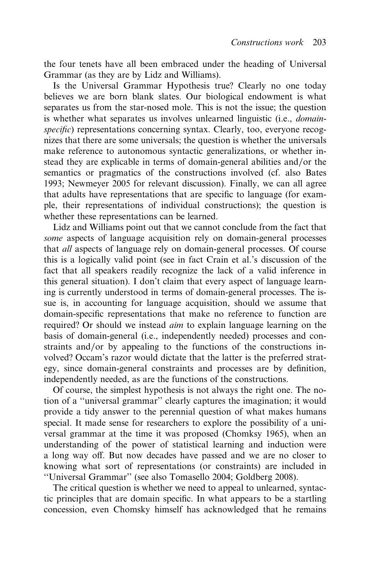the four tenets have all been embraced under the heading of Universal Grammar (as they are by Lidz and Williams).

Is the Universal Grammar Hypothesis true? Clearly no one today believes we are born blank slates. Our biological endowment is what separates us from the star-nosed mole. This is not the issue; the question is whether what separates us involves unlearned linguistic (i.e., domainspecific) representations concerning syntax. Clearly, too, everyone recognizes that there are some universals; the question is whether the universals make reference to autonomous syntactic generalizations, or whether instead they are explicable in terms of domain-general abilities and/or the semantics or pragmatics of the constructions involved (cf. also Bates 1993; Newmeyer 2005 for relevant discussion). Finally, we can all agree that adults have representations that are specific to language (for example, their representations of individual constructions); the question is whether these representations can be learned.

Lidz and Williams point out that we cannot conclude from the fact that some aspects of language acquisition rely on domain-general processes that all aspects of language rely on domain-general processes. Of course this is a logically valid point (see in fact Crain et al.'s discussion of the fact that all speakers readily recognize the lack of a valid inference in this general situation). I don't claim that every aspect of language learning is currently understood in terms of domain-general processes. The issue is, in accounting for language acquisition, should we assume that domain-specific representations that make no reference to function are required? Or should we instead aim to explain language learning on the basis of domain-general (i.e., independently needed) processes and constraints and/or by appealing to the functions of the constructions involved? Occam's razor would dictate that the latter is the preferred strategy, since domain-general constraints and processes are by definition, independently needed, as are the functions of the constructions.

Of course, the simplest hypothesis is not always the right one. The notion of a ''universal grammar'' clearly captures the imagination; it would provide a tidy answer to the perennial question of what makes humans special. It made sense for researchers to explore the possibility of a universal grammar at the time it was proposed (Chomksy 1965), when an understanding of the power of statistical learning and induction were a long way off. But now decades have passed and we are no closer to knowing what sort of representations (or constraints) are included in ''Universal Grammar'' (see also Tomasello 2004; Goldberg 2008).

The critical question is whether we need to appeal to unlearned, syntactic principles that are domain specific. In what appears to be a startling concession, even Chomsky himself has acknowledged that he remains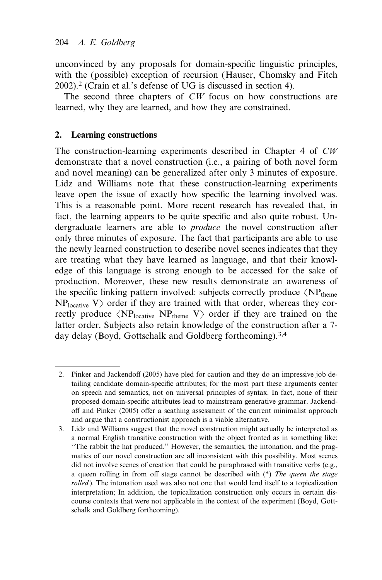unconvinced by any proposals for domain-specific linguistic principles, with the (possible) exception of recursion (Hauser, Chomsky and Fitch 2002).<sup>2</sup> (Crain et al.'s defense of UG is discussed in section 4).

The second three chapters of CW focus on how constructions are learned, why they are learned, and how they are constrained.

#### 2. Learning constructions

The construction-learning experiments described in Chapter 4 of CW demonstrate that a novel construction (i.e., a pairing of both novel form and novel meaning) can be generalized after only 3 minutes of exposure. Lidz and Williams note that these construction-learning experiments leave open the issue of exactly how specific the learning involved was. This is a reasonable point. More recent research has revealed that, in fact, the learning appears to be quite specific and also quite robust. Undergraduate learners are able to produce the novel construction after only three minutes of exposure. The fact that participants are able to use the newly learned construction to describe novel scenes indicates that they are treating what they have learned as language, and that their knowledge of this language is strong enough to be accessed for the sake of production. Moreover, these new results demonstrate an awareness of the specific linking pattern involved: subjects correctly produce  $\langle NP_{\text{theme}} \rangle$  $NP<sub>locative</sub>$  V $>$  order if they are trained with that order, whereas they correctly produce  $\langle NP_{locative} \ NP_{\text{theme}} V \rangle$  order if they are trained on the latter order. Subjects also retain knowledge of the construction after a 7 day delay (Boyd, Gottschalk and Goldberg forthcoming).3,4

<sup>2.</sup> Pinker and Jackendoff (2005) have pled for caution and they do an impressive job detailing candidate domain-specific attributes; for the most part these arguments center on speech and semantics, not on universal principles of syntax. In fact, none of their proposed domain-specific attributes lead to mainstream generative grammar. Jackendoff and Pinker (2005) offer a scathing assessment of the current minimalist approach and argue that a constructionist approach is a viable alternative.

<sup>3.</sup> Lidz and Williams suggest that the novel construction might actually be interpreted as a normal English transitive construction with the object fronted as in something like: ''The rabbit the hat produced.'' However, the semantics, the intonation, and the pragmatics of our novel construction are all inconsistent with this possibility. Most scenes did not involve scenes of creation that could be paraphrased with transitive verbs (e.g., a queen rolling in from off stage cannot be described with  $(*)$  The queen the stage rolled). The intonation used was also not one that would lend itself to a topicalization interpretation; In addition, the topicalization construction only occurs in certain discourse contexts that were not applicable in the context of the experiment (Boyd, Gottschalk and Goldberg forthcoming).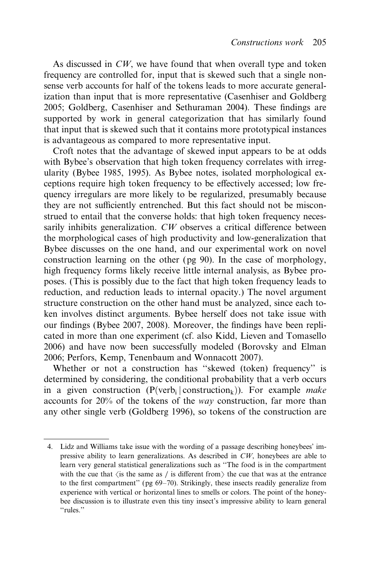As discussed in *CW*, we have found that when overall type and token frequency are controlled for, input that is skewed such that a single nonsense verb accounts for half of the tokens leads to more accurate generalization than input that is more representative (Casenhiser and Goldberg 2005; Goldberg, Casenhiser and Sethuraman 2004). These findings are supported by work in general categorization that has similarly found that input that is skewed such that it contains more prototypical instances is advantageous as compared to more representative input.

Croft notes that the advantage of skewed input appears to be at odds with Bybee's observation that high token frequency correlates with irregularity (Bybee 1985, 1995). As Bybee notes, isolated morphological exceptions require high token frequency to be effectively accessed; low frequency irregulars are more likely to be regularized, presumably because they are not sufficiently entrenched. But this fact should not be misconstrued to entail that the converse holds: that high token frequency necessarily inhibits generalization.  $CW$  observes a critical difference between the morphological cases of high productivity and low-generalization that Bybee discusses on the one hand, and our experimental work on novel construction learning on the other (pg 90). In the case of morphology, high frequency forms likely receive little internal analysis, as Bybee proposes. (This is possibly due to the fact that high token frequency leads to reduction, and reduction leads to internal opacity.) The novel argument structure construction on the other hand must be analyzed, since each token involves distinct arguments. Bybee herself does not take issue with our findings (Bybee 2007, 2008). Moreover, the findings have been replicated in more than one experiment (cf. also Kidd, Lieven and Tomasello 2006) and have now been successfully modeled (Borovsky and Elman 2006; Perfors, Kemp, Tenenbaum and Wonnacott 2007).

Whether or not a construction has "skewed (token) frequency" is determined by considering, the conditional probability that a verb occurs in a given construction (P(verb<sub>i</sub> construction<sub>k</sub>)). For example make accounts for 20% of the tokens of the way construction, far more than any other single verb (Goldberg 1996), so tokens of the construction are

<sup>4.</sup> Lidz and Williams take issue with the wording of a passage describing honeybees' impressive ability to learn generalizations. As described in CW, honeybees are able to learn very general statistical generalizations such as ''The food is in the compartment with the cue that  $\langle$  is the same as / is different from  $\rangle$  the cue that was at the entrance to the first compartment'' (pg 69–70). Strikingly, these insects readily generalize from experience with vertical or horizontal lines to smells or colors. The point of the honeybee discussion is to illustrate even this tiny insect's impressive ability to learn general ''rules.''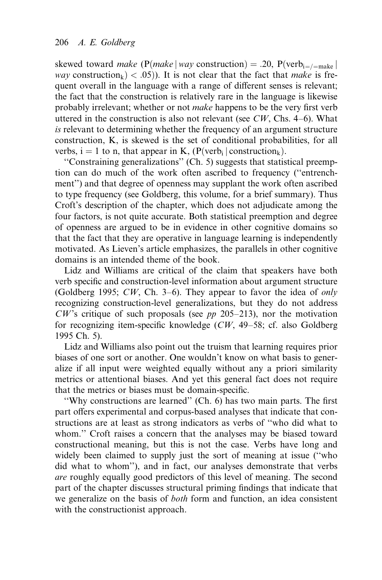skewed toward *make* (P(*make* | way construction) = .20, P(verb<sub>i=/=make</sub> | way construction $k > (0.5)$ . It is not clear that the fact that *make* is frequent overall in the language with a range of different senses is relevant; the fact that the construction is relatively rare in the language is likewise probably irrelevant; whether or not make happens to be the very first verb uttered in the construction is also not relevant (see  $CW$ , Chs. 4–6). What is relevant to determining whether the frequency of an argument structure construction, K, is skewed is the set of conditional probabilities, for all verbs, i = 1 to n, that appear in K, (P(verb<sub>i</sub> | construction<sub>k</sub>).

''Constraining generalizations'' (Ch. 5) suggests that statistical preemption can do much of the work often ascribed to frequency (''entrenchment'') and that degree of openness may supplant the work often ascribed to type frequency (see Goldberg, this volume, for a brief summary). Thus Croft's description of the chapter, which does not adjudicate among the four factors, is not quite accurate. Both statistical preemption and degree of openness are argued to be in evidence in other cognitive domains so that the fact that they are operative in language learning is independently motivated. As Lieven's article emphasizes, the parallels in other cognitive domains is an intended theme of the book.

Lidz and Williams are critical of the claim that speakers have both verb specific and construction-level information about argument structure (Goldberg 1995; CW, Ch. 3–6). They appear to favor the idea of only recognizing construction-level generalizations, but they do not address  $CW$ 's critique of such proposals (see pp 205–213), nor the motivation for recognizing item-specific knowledge (CW, 49–58; cf. also Goldberg 1995 Ch. 5).

Lidz and Williams also point out the truism that learning requires prior biases of one sort or another. One wouldn't know on what basis to generalize if all input were weighted equally without any a priori similarity metrics or attentional biases. And yet this general fact does not require that the metrics or biases must be domain-specific.

''Why constructions are learned'' (Ch. 6) has two main parts. The first part offers experimental and corpus-based analyses that indicate that constructions are at least as strong indicators as verbs of ''who did what to whom.'' Croft raises a concern that the analyses may be biased toward constructional meaning, but this is not the case. Verbs have long and widely been claimed to supply just the sort of meaning at issue (''who did what to whom''), and in fact, our analyses demonstrate that verbs are roughly equally good predictors of this level of meaning. The second part of the chapter discusses structural priming findings that indicate that we generalize on the basis of *both* form and function, an idea consistent with the constructionist approach.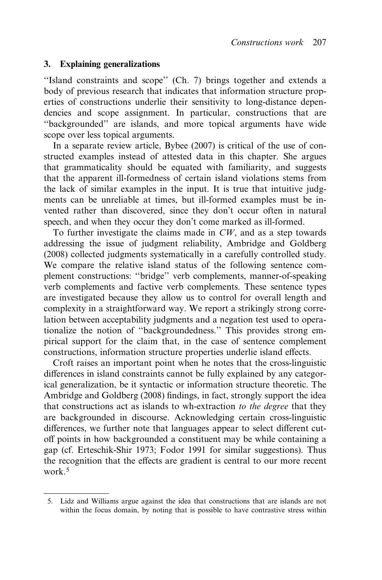#### 3. Explaining generalizations

''Island constraints and scope'' (Ch. 7) brings together and extends a body of previous research that indicates that information structure properties of constructions underlie their sensitivity to long-distance dependencies and scope assignment. In particular, constructions that are ''backgrounded'' are islands, and more topical arguments have wide scope over less topical arguments.

In a separate review article, Bybee (2007) is critical of the use of constructed examples instead of attested data in this chapter. She argues that grammaticality should be equated with familiarity, and suggests that the apparent ill-formedness of certain island violations stems from the lack of similar examples in the input. It is true that intuitive judgments can be unreliable at times, but ill-formed examples must be invented rather than discovered, since they don't occur often in natural speech, and when they occur they don't come marked as ill-formed.

To further investigate the claims made in CW, and as a step towards addressing the issue of judgment reliability, Ambridge and Goldberg (2008) collected judgments systematically in a carefully controlled study. We compare the relative island status of the following sentence complement constructions: ''bridge'' verb complements, manner-of-speaking verb complements and factive verb complements. These sentence types are investigated because they allow us to control for overall length and complexity in a straightforward way. We report a strikingly strong correlation between acceptability judgments and a negation test used to operationalize the notion of ''backgroundedness.'' This provides strong empirical support for the claim that, in the case of sentence complement constructions, information structure properties underlie island effects.

Croft raises an important point when he notes that the cross-linguistic differences in island constraints cannot be fully explained by any categorical generalization, be it syntactic or information structure theoretic. The Ambridge and Goldberg (2008) findings, in fact, strongly support the idea that constructions act as islands to wh-extraction to the degree that they are backgrounded in discourse. Acknowledging certain cross-linguistic differences, we further note that languages appear to select different cutoff points in how backgrounded a constituent may be while containing a gap (cf. Erteschik-Shir 1973; Fodor 1991 for similar suggestions). Thus the recognition that the effects are gradient is central to our more recent work<sup>5</sup>

<sup>5.</sup> Lidz and Williams argue against the idea that constructions that are islands are not within the focus domain, by noting that is possible to have contrastive stress within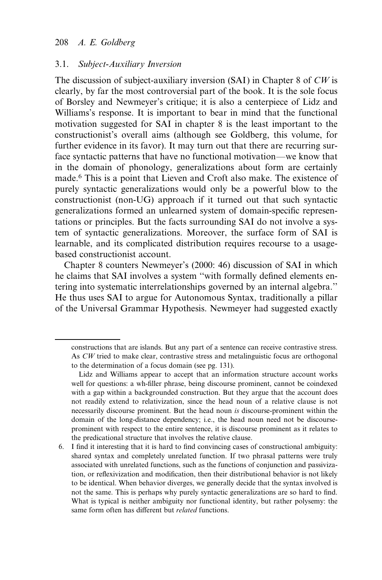#### 3.1. Subject-Auxiliary Inversion

The discussion of subject-auxiliary inversion  $(SAI)$  in Chapter 8 of CW is clearly, by far the most controversial part of the book. It is the sole focus of Borsley and Newmeyer's critique; it is also a centerpiece of Lidz and Williams's response. It is important to bear in mind that the functional motivation suggested for SAI in chapter 8 is the least important to the constructionist's overall aims (although see Goldberg, this volume, for further evidence in its favor). It may turn out that there are recurring surface syntactic patterns that have no functional motivation—we know that in the domain of phonology, generalizations about form are certainly made.6 This is a point that Lieven and Croft also make. The existence of purely syntactic generalizations would only be a powerful blow to the constructionist (non-UG) approach if it turned out that such syntactic generalizations formed an unlearned system of domain-specific representations or principles. But the facts surrounding SAI do not involve a system of syntactic generalizations. Moreover, the surface form of SAI is learnable, and its complicated distribution requires recourse to a usagebased constructionist account.

Chapter 8 counters Newmeyer's (2000: 46) discussion of SAI in which he claims that SAI involves a system ''with formally defined elements entering into systematic interrelationships governed by an internal algebra.'' He thus uses SAI to argue for Autonomous Syntax, traditionally a pillar of the Universal Grammar Hypothesis. Newmeyer had suggested exactly

constructions that are islands. But any part of a sentence can receive contrastive stress. As CW tried to make clear, contrastive stress and metalinguistic focus are orthogonal to the determination of a focus domain (see pg. 131).

Lidz and Williams appear to accept that an information structure account works well for questions: a wh-filler phrase, being discourse prominent, cannot be coindexed with a gap within a backgrounded construction. But they argue that the account does not readily extend to relativization, since the head noun of a relative clause is not necessarily discourse prominent. But the head noun is discourse-prominent within the domain of the long-distance dependency; i.e., the head noun need not be discourseprominent with respect to the entire sentence, it is discourse prominent as it relates to the predicational structure that involves the relative clause.

<sup>6.</sup> I find it interesting that it is hard to find convincing cases of constructional ambiguity: shared syntax and completely unrelated function. If two phrasal patterns were truly associated with unrelated functions, such as the functions of conjunction and passivization, or reflexivization and modification, then their distributional behavior is not likely to be identical. When behavior diverges, we generally decide that the syntax involved is not the same. This is perhaps why purely syntactic generalizations are so hard to find. What is typical is neither ambiguity nor functional identity, but rather polysemy: the same form often has different but *related* functions.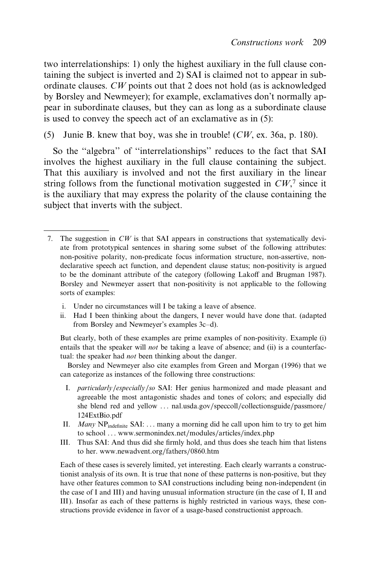two interrelationships: 1) only the highest auxiliary in the full clause containing the subject is inverted and 2) SAI is claimed not to appear in subordinate clauses. CW points out that 2 does not hold (as is acknowledged by Borsley and Newmeyer); for example, exclamatives don't normally appear in subordinate clauses, but they can as long as a subordinate clause is used to convey the speech act of an exclamative as in (5):

(5) Junie B. knew that boy, was she in trouble! (CW, ex. 36a, p. 180).

So the ''algebra'' of ''interrelationships'' reduces to the fact that SAI involves the highest auxiliary in the full clause containing the subject. That this auxiliary is involved and not the first auxiliary in the linear string follows from the functional motivation suggested in  $CW$ ,<sup>7</sup> since it is the auxiliary that may express the polarity of the clause containing the subject that inverts with the subject.

- i. Under no circumstances will I be taking a leave of absence.
- ii. Had I been thinking about the dangers, I never would have done that. (adapted from Borsley and Newmeyer's examples 3c–d).

But clearly, both of these examples are prime examples of non-positivity. Example (i) entails that the speaker will *not* be taking a leave of absence; and (ii) is a counterfactual: the speaker had *not* been thinking about the danger.

Borsley and Newmeyer also cite examples from Green and Morgan (1996) that we can categorize as instances of the following three constructions:

- I. particularly/especially/so SAI: Her genius harmonized and made pleasant and agreeable the most antagonistic shades and tones of colors; and especially did she blend red and yellow ... nal.usda.gov/speccoll/collectionsguide/passmore/ 124ExtBio.pdf
- II. Many NP<sub>indefinite</sub> SAI: ... many a morning did he call upon him to try to get him to school . . . www.sermonindex.net/modules/articles/index.php
- III. Thus SAI: And thus did she firmly hold, and thus does she teach him that listens to her. www.newadvent.org/fathers/0860.htm

Each of these cases is severely limited, yet interesting. Each clearly warrants a constructionist analysis of its own. It is true that none of these patterns is non-positive, but they have other features common to SAI constructions including being non-independent (in the case of I and III) and having unusual information structure (in the case of I, II and III). Insofar as each of these patterns is highly restricted in various ways, these constructions provide evidence in favor of a usage-based constructionist approach.

<sup>7.</sup> The suggestion in  $CW$  is that SAI appears in constructions that systematically deviate from prototypical sentences in sharing some subset of the following attributes: non-positive polarity, non-predicate focus information structure, non-assertive, nondeclarative speech act function, and dependent clause status; non-positivity is argued to be the dominant attribute of the category (following Lakoff and Brugman 1987). Borsley and Newmeyer assert that non-positivity is not applicable to the following sorts of examples: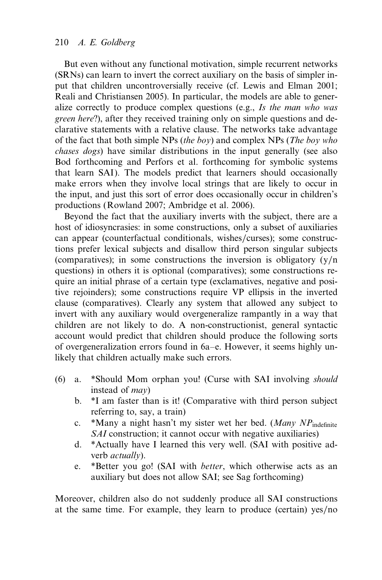But even without any functional motivation, simple recurrent networks (SRNs) can learn to invert the correct auxiliary on the basis of simpler input that children uncontroversially receive (cf. Lewis and Elman 2001; Reali and Christiansen 2005). In particular, the models are able to generalize correctly to produce complex questions (e.g., Is the man who was green here?), after they received training only on simple questions and declarative statements with a relative clause. The networks take advantage of the fact that both simple NPs (the boy) and complex NPs (The boy who chases dogs) have similar distributions in the input generally (see also Bod forthcoming and Perfors et al. forthcoming for symbolic systems that learn SAI). The models predict that learners should occasionally make errors when they involve local strings that are likely to occur in the input, and just this sort of error does occasionally occur in children's productions (Rowland 2007; Ambridge et al. 2006).

Beyond the fact that the auxiliary inverts with the subject, there are a host of idiosyncrasies: in some constructions, only a subset of auxiliaries can appear (counterfactual conditionals, wishes/curses); some constructions prefer lexical subjects and disallow third person singular subjects (comparatives); in some constructions the inversion is obligatory  $(y/n)$ questions) in others it is optional (comparatives); some constructions require an initial phrase of a certain type (exclamatives, negative and positive rejoinders); some constructions require VP ellipsis in the inverted clause (comparatives). Clearly any system that allowed any subject to invert with any auxiliary would overgeneralize rampantly in a way that children are not likely to do. A non-constructionist, general syntactic account would predict that children should produce the following sorts of overgeneralization errors found in 6a–e. However, it seems highly unlikely that children actually make such errors.

- (6) a. \*Should Mom orphan you! (Curse with SAI involving should instead of may)
	- b. \*I am faster than is it! (Comparative with third person subject referring to, say, a train)
	- c. \*Many a night hasn't my sister wet her bed. (*Many NP*<sub>indefinite</sub> SAI construction; it cannot occur with negative auxiliaries)
	- d. \*Actually have I learned this very well. (SAI with positive adverb actually).
	- e. \*Better you go! (SAI with better, which otherwise acts as an auxiliary but does not allow SAI; see Sag forthcoming)

Moreover, children also do not suddenly produce all SAI constructions at the same time. For example, they learn to produce (certain) yes/no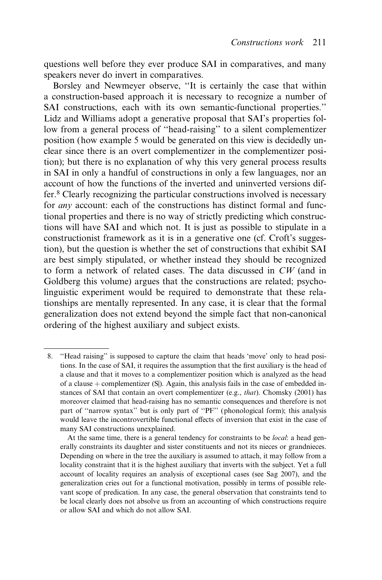questions well before they ever produce SAI in comparatives, and many speakers never do invert in comparatives.

Borsley and Newmeyer observe, ''It is certainly the case that within a construction-based approach it is necessary to recognize a number of SAI constructions, each with its own semantic-functional properties.'' Lidz and Williams adopt a generative proposal that SAI's properties follow from a general process of ''head-raising'' to a silent complementizer position (how example 5 would be generated on this view is decidedly unclear since there is an overt complementizer in the complementizer position); but there is no explanation of why this very general process results in SAI in only a handful of constructions in only a few languages, nor an account of how the functions of the inverted and uninverted versions differ.<sup>8</sup> Clearly recognizing the particular constructions involved is necessary for any account: each of the constructions has distinct formal and functional properties and there is no way of strictly predicting which constructions will have SAI and which not. It is just as possible to stipulate in a constructionist framework as it is in a generative one (cf. Croft's suggestion), but the question is whether the set of constructions that exhibit SAI are best simply stipulated, or whether instead they should be recognized to form a network of related cases. The data discussed in CW (and in Goldberg this volume) argues that the constructions are related; psycholinguistic experiment would be required to demonstrate that these relationships are mentally represented. In any case, it is clear that the formal generalization does not extend beyond the simple fact that non-canonical ordering of the highest auxiliary and subject exists.

<sup>8. &#</sup>x27;'Head raising'' is supposed to capture the claim that heads 'move' only to head positions. In the case of SAI, it requires the assumption that the first auxiliary is the head of a clause and that it moves to a complementizer position which is analyzed as the head of a clause  $+$  complementizer (S|). Again, this analysis fails in the case of embedded instances of SAI that contain an overt complementizer (e.g., that). Chomsky (2001) has moreover claimed that head-raising has no semantic consequences and therefore is not part of ''narrow syntax'' but is only part of ''PF'' (phonological form); this analysis would leave the incontrovertible functional effects of inversion that exist in the case of many SAI constructions unexplained.

At the same time, there is a general tendency for constraints to be *local*: a head generally constraints its daughter and sister constituents and not its nieces or grandnieces. Depending on where in the tree the auxiliary is assumed to attach, it may follow from a locality constraint that it is the highest auxiliary that inverts with the subject. Yet a full account of locality requires an analysis of exceptional cases (see Sag 2007), and the generalization cries out for a functional motivation, possibly in terms of possible relevant scope of predication. In any case, the general observation that constraints tend to be local clearly does not absolve us from an accounting of which constructions require or allow SAI and which do not allow SAI.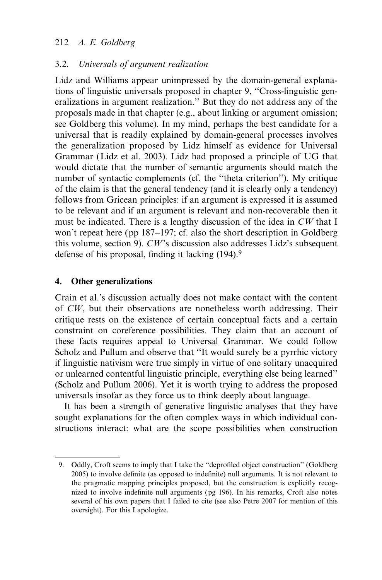#### 3.2. Universals of argument realization

Lidz and Williams appear unimpressed by the domain-general explanations of linguistic universals proposed in chapter 9, ''Cross-linguistic generalizations in argument realization.'' But they do not address any of the proposals made in that chapter (e.g., about linking or argument omission; see Goldberg this volume). In my mind, perhaps the best candidate for a universal that is readily explained by domain-general processes involves the generalization proposed by Lidz himself as evidence for Universal Grammar (Lidz et al. 2003). Lidz had proposed a principle of UG that would dictate that the number of semantic arguments should match the number of syntactic complements (cf. the ''theta criterion''). My critique of the claim is that the general tendency (and it is clearly only a tendency) follows from Gricean principles: if an argument is expressed it is assumed to be relevant and if an argument is relevant and non-recoverable then it must be indicated. There is a lengthy discussion of the idea in CW that I won't repeat here (pp 187–197; cf. also the short description in Goldberg this volume, section 9). CW's discussion also addresses Lidz's subsequent defense of his proposal, finding it lacking (194).<sup>9</sup>

#### 4. Other generalizations

Crain et al.'s discussion actually does not make contact with the content of CW, but their observations are nonetheless worth addressing. Their critique rests on the existence of certain conceptual facts and a certain constraint on coreference possibilities. They claim that an account of these facts requires appeal to Universal Grammar. We could follow Scholz and Pullum and observe that ''It would surely be a pyrrhic victory if linguistic nativism were true simply in virtue of one solitary unacquired or unlearned contentful linguistic principle, everything else being learned'' (Scholz and Pullum 2006). Yet it is worth trying to address the proposed universals insofar as they force us to think deeply about language.

It has been a strength of generative linguistic analyses that they have sought explanations for the often complex ways in which individual constructions interact: what are the scope possibilities when construction

<sup>9.</sup> Oddly, Croft seems to imply that I take the ''deprofiled object construction'' (Goldberg 2005) to involve definite (as opposed to indefinite) null arguments. It is not relevant to the pragmatic mapping principles proposed, but the construction is explicitly recognized to involve indefinite null arguments (pg 196). In his remarks, Croft also notes several of his own papers that I failed to cite (see also Petre 2007 for mention of this oversight). For this I apologize.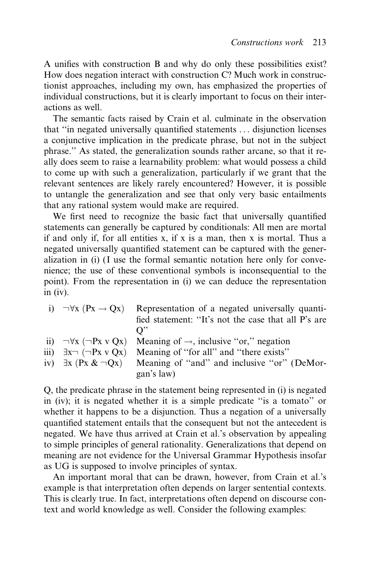A unifies with construction B and why do only these possibilities exist? How does negation interact with construction C? Much work in constructionist approaches, including my own, has emphasized the properties of individual constructions, but it is clearly important to focus on their interactions as well.

The semantic facts raised by Crain et al. culminate in the observation that ''in negated universally quantified statements . . . disjunction licenses a conjunctive implication in the predicate phrase, but not in the subject phrase.'' As stated, the generalization sounds rather arcane, so that it really does seem to raise a learnability problem: what would possess a child to come up with such a generalization, particularly if we grant that the relevant sentences are likely rarely encountered? However, it is possible to untangle the generalization and see that only very basic entailments that any rational system would make are required.

We first need to recognize the basic fact that universally quantified statements can generally be captured by conditionals: All men are mortal if and only if, for all entities x, if x is a man, then x is mortal. Thus a negated universally quantified statement can be captured with the generalization in (i) (I use the formal semantic notation here only for convenience; the use of these conventional symbols is inconsequential to the point). From the representation in (i) we can deduce the representation in (iv).

| i) $\neg \forall x (Px \rightarrow Ox)$ | Representation of a negated universally quanti-                                            |
|-----------------------------------------|--------------------------------------------------------------------------------------------|
|                                         | fied statement: "It's not the case that all P's are                                        |
|                                         | $\mathbf{O}^n$                                                                             |
|                                         | ii) $\neg \forall x (\neg Px \lor Qx)$ Meaning of $\rightarrow$ , inclusive "or," negation |
|                                         | iii) $\exists x \neg (\neg Px \lor Qx)$ Meaning of "for all" and "there exists"            |
|                                         | iv) $\exists x (Px \& \neg Qx)$ Meaning of "and" and inclusive "or" (DeMor-                |
|                                         | gan's law)                                                                                 |

Q, the predicate phrase in the statement being represented in (i) is negated in (iv); it is negated whether it is a simple predicate ''is a tomato'' or whether it happens to be a disjunction. Thus a negation of a universally quantified statement entails that the consequent but not the antecedent is negated. We have thus arrived at Crain et al.'s observation by appealing to simple principles of general rationality. Generalizations that depend on meaning are not evidence for the Universal Grammar Hypothesis insofar as UG is supposed to involve principles of syntax.

An important moral that can be drawn, however, from Crain et al.'s example is that interpretation often depends on larger sentential contexts. This is clearly true. In fact, interpretations often depend on discourse context and world knowledge as well. Consider the following examples: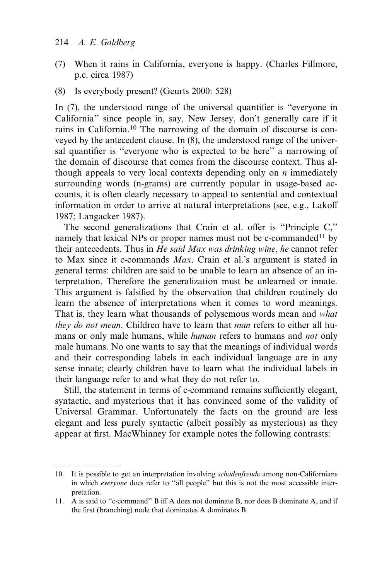- (7) When it rains in California, everyone is happy. (Charles Fillmore, p.c. circa 1987)
- (8) Is everybody present? (Geurts 2000: 528)

In (7), the understood range of the universal quantifier is ''everyone in California'' since people in, say, New Jersey, don't generally care if it rains in California.<sup>10</sup> The narrowing of the domain of discourse is conveyed by the antecedent clause. In (8), the understood range of the universal quantifier is ''everyone who is expected to be here'' a narrowing of the domain of discourse that comes from the discourse context. Thus although appeals to very local contexts depending only on  $n$  immediately surrounding words (n-grams) are currently popular in usage-based accounts, it is often clearly necessary to appeal to sentential and contextual information in order to arrive at natural interpretations (see, e.g., Lakoff 1987; Langacker 1987).

The second generalizations that Crain et al. offer is "Principle C," namely that lexical NPs or proper names must not be c-commanded<sup>11</sup> by their antecedents. Thus in He said Max was drinking wine, he cannot refer to Max since it c-commands Max. Crain et al.'s argument is stated in general terms: children are said to be unable to learn an absence of an interpretation. Therefore the generalization must be unlearned or innate. This argument is falsified by the observation that children routinely do learn the absence of interpretations when it comes to word meanings. That is, they learn what thousands of polysemous words mean and *what* they do not mean. Children have to learn that man refers to either all humans or only male humans, while *human* refers to humans and *not* only male humans. No one wants to say that the meanings of individual words and their corresponding labels in each individual language are in any sense innate; clearly children have to learn what the individual labels in their language refer to and what they do not refer to.

Still, the statement in terms of c-command remains sufficiently elegant. syntactic, and mysterious that it has convinced some of the validity of Universal Grammar. Unfortunately the facts on the ground are less elegant and less purely syntactic (albeit possibly as mysterious) as they appear at first. MacWhinney for example notes the following contrasts:

<sup>10.</sup> It is possible to get an interpretation involving schadenfreude among non-Californians in which everyone does refer to ''all people'' but this is not the most accessible interpretation.

<sup>11.</sup> A is said to "c-command" B iff A does not dominate B, nor does B dominate A, and if the first (branching) node that dominates A dominates B.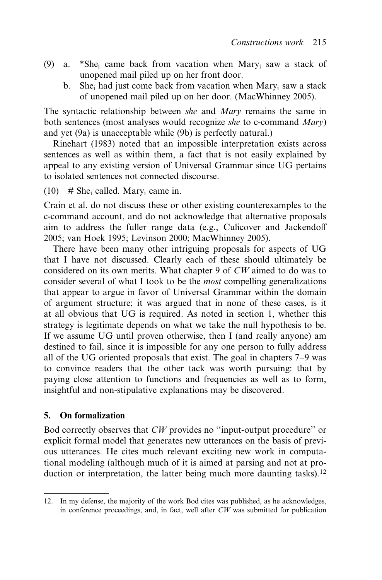- (9) a. \*Shei came back from vacation when Maryi saw a stack of unopened mail piled up on her front door.
	- b. She<sub>i</sub> had just come back from vacation when Mary<sub>i</sub> saw a stack of unopened mail piled up on her door. (MacWhinney 2005).

The syntactic relationship between she and Mary remains the same in both sentences (most analyses would recognize she to c-command Mary) and yet (9a) is unacceptable while (9b) is perfectly natural.)

Rinehart (1983) noted that an impossible interpretation exists across sentences as well as within them, a fact that is not easily explained by appeal to any existing version of Universal Grammar since UG pertains to isolated sentences not connected discourse.

 $(10)$  # She<sub>i</sub> called. Mary<sub>i</sub> came in.

Crain et al. do not discuss these or other existing counterexamples to the c-command account, and do not acknowledge that alternative proposals aim to address the fuller range data (e.g., Culicover and Jackendoff 2005; van Hoek 1995; Levinson 2000; MacWhinney 2005).

There have been many other intriguing proposals for aspects of UG that I have not discussed. Clearly each of these should ultimately be considered on its own merits. What chapter 9 of CW aimed to do was to consider several of what I took to be the most compelling generalizations that appear to argue in favor of Universal Grammar within the domain of argument structure; it was argued that in none of these cases, is it at all obvious that UG is required. As noted in section 1, whether this strategy is legitimate depends on what we take the null hypothesis to be. If we assume UG until proven otherwise, then I (and really anyone) am destined to fail, since it is impossible for any one person to fully address all of the UG oriented proposals that exist. The goal in chapters 7–9 was to convince readers that the other tack was worth pursuing: that by paying close attention to functions and frequencies as well as to form, insightful and non-stipulative explanations may be discovered.

#### 5. On formalization

Bod correctly observes that CW provides no ''input-output procedure'' or explicit formal model that generates new utterances on the basis of previous utterances. He cites much relevant exciting new work in computational modeling (although much of it is aimed at parsing and not at production or interpretation, the latter being much more daunting tasks).<sup>12</sup>

<sup>12.</sup> In my defense, the majority of the work Bod cites was published, as he acknowledges, in conference proceedings, and, in fact, well after  $CW$  was submitted for publication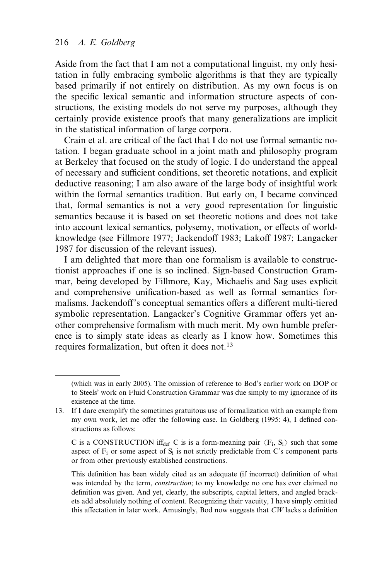Aside from the fact that I am not a computational linguist, my only hesitation in fully embracing symbolic algorithms is that they are typically based primarily if not entirely on distribution. As my own focus is on the specific lexical semantic and information structure aspects of constructions, the existing models do not serve my purposes, although they certainly provide existence proofs that many generalizations are implicit in the statistical information of large corpora.

Crain et al. are critical of the fact that I do not use formal semantic notation. I began graduate school in a joint math and philosophy program at Berkeley that focused on the study of logic. I do understand the appeal of necessary and sufficient conditions, set theoretic notations, and explicit deductive reasoning; I am also aware of the large body of insightful work within the formal semantics tradition. But early on, I became convinced that, formal semantics is not a very good representation for linguistic semantics because it is based on set theoretic notions and does not take into account lexical semantics, polysemy, motivation, or effects of worldknowledge (see Fillmore 1977; Jackendoff 1983; Lakoff 1987; Langacker 1987 for discussion of the relevant issues).

I am delighted that more than one formalism is available to constructionist approaches if one is so inclined. Sign-based Construction Grammar, being developed by Fillmore, Kay, Michaelis and Sag uses explicit and comprehensive unification-based as well as formal semantics formalisms. Jackendoff's conceptual semantics offers a different multi-tiered symbolic representation. Langacker's Cognitive Grammar offers yet another comprehensive formalism with much merit. My own humble preference is to simply state ideas as clearly as I know how. Sometimes this requires formalization, but often it does not.<sup>13</sup>

<sup>(</sup>which was in early 2005). The omission of reference to Bod's earlier work on DOP or to Steels' work on Fluid Construction Grammar was due simply to my ignorance of its existence at the time.

<sup>13.</sup> If I dare exemplify the sometimes gratuitous use of formalization with an example from my own work, let me offer the following case. In Goldberg (1995: 4), I defined constructions as follows:

C is a CONSTRUCTION if  $f_{def}$  C is is a form-meaning pair  $\langle F_i, S_i \rangle$  such that some aspect of  $F_i$  or some aspect of  $S_i$  is not strictly predictable from C's component parts or from other previously established constructions.

This definition has been widely cited as an adequate (if incorrect) definition of what was intended by the term, *construction*; to my knowledge no one has ever claimed no definition was given. And yet, clearly, the subscripts, capital letters, and angled brackets add absolutely nothing of content. Recognizing their vacuity, I have simply omitted this affectation in later work. Amusingly, Bod now suggests that  $CW$  lacks a definition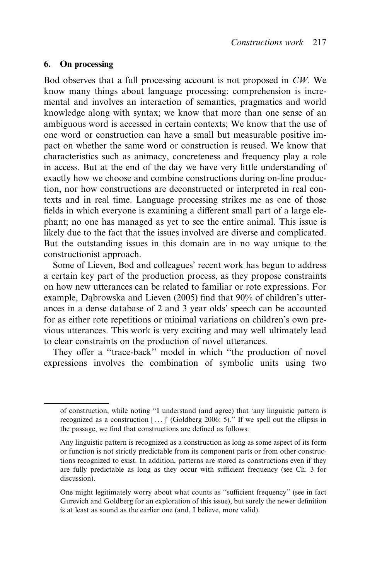#### 6. On processing

Bod observes that a full processing account is not proposed in CW. We know many things about language processing: comprehension is incremental and involves an interaction of semantics, pragmatics and world knowledge along with syntax; we know that more than one sense of an ambiguous word is accessed in certain contexts; We know that the use of one word or construction can have a small but measurable positive impact on whether the same word or construction is reused. We know that characteristics such as animacy, concreteness and frequency play a role in access. But at the end of the day we have very little understanding of exactly how we choose and combine constructions during on-line production, nor how constructions are deconstructed or interpreted in real contexts and in real time. Language processing strikes me as one of those fields in which everyone is examining a different small part of a large elephant; no one has managed as yet to see the entire animal. This issue is likely due to the fact that the issues involved are diverse and complicated. But the outstanding issues in this domain are in no way unique to the constructionist approach.

Some of Lieven, Bod and colleagues' recent work has begun to address a certain key part of the production process, as they propose constraints on how new utterances can be related to familiar or rote expressions. For example, Dabrowska and Lieven (2005) find that 90% of children's utterances in a dense database of 2 and 3 year olds' speech can be accounted for as either rote repetitions or minimal variations on children's own previous utterances. This work is very exciting and may well ultimately lead to clear constraints on the production of novel utterances.

They offer a "trace-back" model in which "the production of novel expressions involves the combination of symbolic units using two

of construction, while noting ''I understand (and agree) that 'any linguistic pattern is recognized as a construction  $[\dots]$ ' (Goldberg 2006: 5)." If we spell out the ellipsis in the passage, we find that constructions are defined as follows:

Any linguistic pattern is recognized as a construction as long as some aspect of its form or function is not strictly predictable from its component parts or from other constructions recognized to exist. In addition, patterns are stored as constructions even if they are fully predictable as long as they occur with sufficient frequency (see Ch. 3 for discussion).

One might legitimately worry about what counts as "sufficient frequency" (see in fact Gurevich and Goldberg for an exploration of this issue), but surely the newer definition is at least as sound as the earlier one (and, I believe, more valid).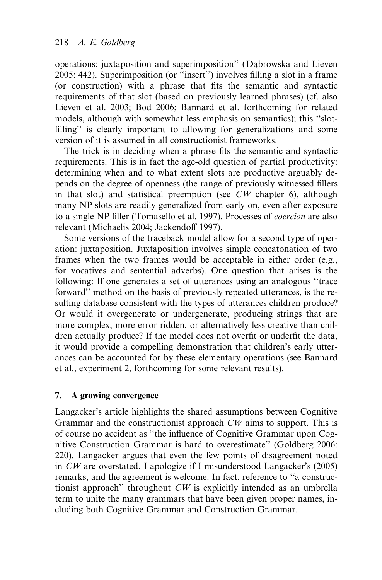operations: juxtaposition and superimposition'' (Da˛browska and Lieven 2005: 442). Superimposition (or ''insert'') involves filling a slot in a frame (or construction) with a phrase that fits the semantic and syntactic requirements of that slot (based on previously learned phrases) (cf. also Lieven et al. 2003; Bod 2006; Bannard et al. forthcoming for related models, although with somewhat less emphasis on semantics); this ''slotfilling'' is clearly important to allowing for generalizations and some version of it is assumed in all constructionist frameworks.

The trick is in deciding when a phrase fits the semantic and syntactic requirements. This is in fact the age-old question of partial productivity: determining when and to what extent slots are productive arguably depends on the degree of openness (the range of previously witnessed fillers in that slot) and statistical preemption (see  $CW$  chapter 6), although many NP slots are readily generalized from early on, even after exposure to a single NP filler (Tomasello et al. 1997). Processes of coercion are also relevant (Michaelis 2004; Jackendoff 1997).

Some versions of the traceback model allow for a second type of operation: juxtaposition. Juxtaposition involves simple concatonation of two frames when the two frames would be acceptable in either order (e.g., for vocatives and sentential adverbs). One question that arises is the following: If one generates a set of utterances using an analogous ''trace forward'' method on the basis of previously repeated utterances, is the resulting database consistent with the types of utterances children produce? Or would it overgenerate or undergenerate, producing strings that are more complex, more error ridden, or alternatively less creative than children actually produce? If the model does not overfit or underfit the data, it would provide a compelling demonstration that children's early utterances can be accounted for by these elementary operations (see Bannard et al., experiment 2, forthcoming for some relevant results).

### 7. A growing convergence

Langacker's article highlights the shared assumptions between Cognitive Grammar and the constructionist approach CW aims to support. This is of course no accident as ''the influence of Cognitive Grammar upon Cognitive Construction Grammar is hard to overestimate'' (Goldberg 2006: 220). Langacker argues that even the few points of disagreement noted in CW are overstated. I apologize if I misunderstood Langacker's (2005) remarks, and the agreement is welcome. In fact, reference to ''a constructionist approach'' throughout CW is explicitly intended as an umbrella term to unite the many grammars that have been given proper names, including both Cognitive Grammar and Construction Grammar.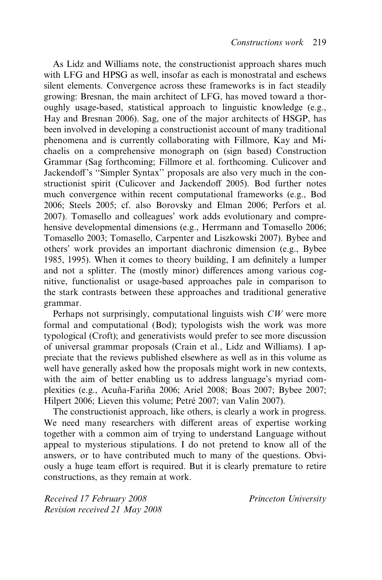As Lidz and Williams note, the constructionist approach shares much with LFG and HPSG as well, insofar as each is monostratal and eschews silent elements. Convergence across these frameworks is in fact steadily growing: Bresnan, the main architect of LFG, has moved toward a thoroughly usage-based, statistical approach to linguistic knowledge (e.g., Hay and Bresnan 2006). Sag, one of the major architects of HSGP, has been involved in developing a constructionist account of many traditional phenomena and is currently collaborating with Fillmore, Kay and Michaelis on a comprehensive monograph on (sign based) Construction Grammar (Sag forthcoming; Fillmore et al. forthcoming. Culicover and Jackendoff's "Simpler Syntax" proposals are also very much in the constructionist spirit (Culicover and Jackendoff 2005). Bod further notes much convergence within recent computational frameworks (e.g., Bod 2006; Steels 2005; cf. also Borovsky and Elman 2006; Perfors et al. 2007). Tomasello and colleagues' work adds evolutionary and comprehensive developmental dimensions (e.g., Herrmann and Tomasello 2006; Tomasello 2003; Tomasello, Carpenter and Liszkowski 2007). Bybee and others' work provides an important diachronic dimension (e.g., Bybee 1985, 1995). When it comes to theory building, I am definitely a lumper and not a splitter. The (mostly minor) differences among various cognitive, functionalist or usage-based approaches pale in comparison to the stark contrasts between these approaches and traditional generative grammar.

Perhaps not surprisingly, computational linguists wish CW were more formal and computational (Bod); typologists wish the work was more typological (Croft); and generativists would prefer to see more discussion of universal grammar proposals (Crain et al., Lidz and Williams). I appreciate that the reviews published elsewhere as well as in this volume as well have generally asked how the proposals might work in new contexts, with the aim of better enabling us to address language's myriad complexities (e.g., Acuña-Fariña 2006; Ariel 2008; Boas 2007; Bybee 2007; Hilpert 2006; Lieven this volume; Petré 2007; van Valin 2007).

The constructionist approach, like others, is clearly a work in progress. We need many researchers with different areas of expertise working together with a common aim of trying to understand Language without appeal to mysterious stipulations. I do not pretend to know all of the answers, or to have contributed much to many of the questions. Obviously a huge team effort is required. But it is clearly premature to retire constructions, as they remain at work.

Received 17 February 2008 Princeton University Revision received 21 May 2008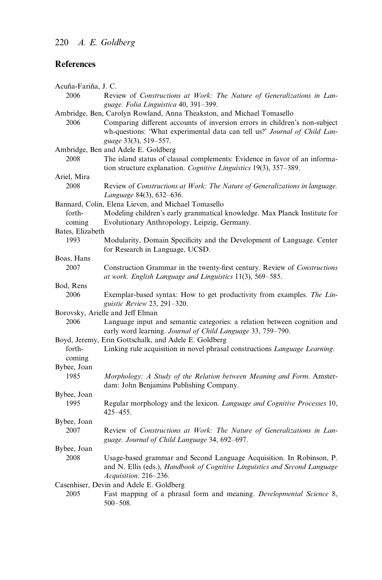## References

| Acuña-Fariña, J. C. |                                                                                 |
|---------------------|---------------------------------------------------------------------------------|
| 2006                | Review of Constructions at Work: The Nature of Generalizations in Lan-          |
|                     | guage. Folia Linguistica 40, 391-399.                                           |
|                     | Ambridge, Ben, Carolyn Rowland, Anna Theakston, and Michael Tomasello           |
| 2006                | Comparing different accounts of inversion errors in children's non-subject      |
|                     | wh-questions: 'What experimental data can tell us?' Journal of Child Lan-       |
|                     | guage 33(3), 519–557.                                                           |
|                     | Ambridge, Ben and Adele E. Goldberg                                             |
| 2008                | The island status of clausal complements: Evidence in favor of an informa-      |
|                     | tion structure explanation. Cognitive Linguistics 19(3), 357–389.               |
| Ariel, Mira         |                                                                                 |
| 2008                | Review of Constructions at Work: The Nature of Generalizations in language.     |
|                     | Language 84(3), 632–636.                                                        |
|                     | Bannard, Colin, Elena Lieven, and Michael Tomasello                             |
| forth-              | Modeling children's early grammatical knowledge. Max Planck Institute for       |
|                     | Evolutionary Anthropology, Leipzig, Germany.                                    |
| coming              |                                                                                 |
| Bates, Elizabeth    |                                                                                 |
| 1993                | Modularity, Domain Specificity and the Development of Language. Center          |
|                     | for Research in Language, UCSD.                                                 |
| Boas, Hans          |                                                                                 |
| 2007                | Construction Grammar in the twenty-first century. Review of Constructions       |
|                     | at work. English Language and Linguistics 11(3), 569–585.                       |
| Bod, Rens           |                                                                                 |
| 2006                | Exemplar-based syntax: How to get productivity from examples. The Lin-          |
|                     | guistic Review 23, 291-320.                                                     |
|                     | Borovsky, Arielle and Jeff Elman                                                |
| 2006                | Language input and semantic categories: a relation between cognition and        |
|                     | early word learning. Journal of Child Language 33, 759–790.                     |
|                     | Boyd, Jeremy, Erin Gottschalk, and Adele E. Goldberg                            |
| forth-              | Linking rule acquisition in novel phrasal constructions Language Learning.      |
| coming              |                                                                                 |
| Bybee, Joan         |                                                                                 |
| 1985                | Morphology: A Study of the Relation between Meaning and Form. Amster-           |
|                     | dam: John Benjamins Publishing Company.                                         |
| Bybee, Joan         |                                                                                 |
| 1995                | Regular morphology and the lexicon. <i>Language and Cognitive Processes</i> 10, |
|                     | 425-455.                                                                        |
| Bybee, Joan         |                                                                                 |
| 2007                | Review of Constructions at Work: The Nature of Generalizations in Lan-          |
|                     | guage. Journal of Child Language 34, 692-697.                                   |
|                     |                                                                                 |
| Bybee, Joan         |                                                                                 |
| 2008                | Usage-based grammar and Second Language Acquisition. In Robinson, P.            |
|                     | and N. Ellis (eds.), Handbook of Cognitive Linguistics and Second Language      |
|                     | Acquisition. 216-236.                                                           |
|                     | Casenhiser, Devin and Adele E. Goldberg                                         |
| 2005                | Fast mapping of a phrasal form and meaning. Developmental Science 8,            |
|                     | $500 - 508$ .                                                                   |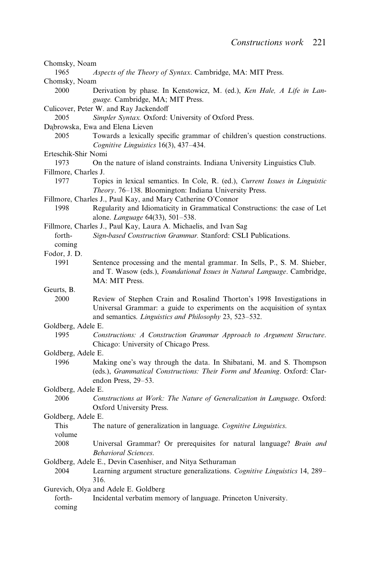| Chomsky, Noam                                              |                                                                                                                                                                                                           |  |  |
|------------------------------------------------------------|-----------------------------------------------------------------------------------------------------------------------------------------------------------------------------------------------------------|--|--|
| 1965                                                       | Aspects of the Theory of Syntax. Cambridge, MA: MIT Press.                                                                                                                                                |  |  |
| Chomsky, Noam                                              |                                                                                                                                                                                                           |  |  |
| 2000                                                       | Derivation by phase. In Kenstowicz, M. (ed.), Ken Hale, A Life in Lan-<br>guage. Cambridge, MA; MIT Press.                                                                                                |  |  |
|                                                            | Culicover, Peter W. and Ray Jackendoff                                                                                                                                                                    |  |  |
| 2005                                                       | Simpler Syntax. Oxford: University of Oxford Press.                                                                                                                                                       |  |  |
|                                                            | Dąbrowska, Ewa and Elena Lieven                                                                                                                                                                           |  |  |
| 2005                                                       | Towards a lexically specific grammar of children's question constructions.<br>Cognitive Linguistics 16(3), 437-434.                                                                                       |  |  |
| Erteschik-Shir Nomi                                        |                                                                                                                                                                                                           |  |  |
| 1973                                                       | On the nature of island constraints. Indiana University Linguistics Club.                                                                                                                                 |  |  |
| Fillmore, Charles J.                                       |                                                                                                                                                                                                           |  |  |
| 1977                                                       | Topics in lexical semantics. In Cole, R. (ed.), Current Issues in Linguistic<br>Theory. 76-138. Bloomington: Indiana University Press.                                                                    |  |  |
|                                                            | Fillmore, Charles J., Paul Kay, and Mary Catherine O'Connor                                                                                                                                               |  |  |
| 1998                                                       | Regularity and Idiomaticity in Grammatical Constructions: the case of Let                                                                                                                                 |  |  |
|                                                            | alone. Language 64(33), 501-538.                                                                                                                                                                          |  |  |
|                                                            | Fillmore, Charles J., Paul Kay, Laura A. Michaelis, and Ivan Sag                                                                                                                                          |  |  |
| forth-                                                     | Sign-based Construction Grammar. Stanford: CSLI Publications.                                                                                                                                             |  |  |
| coming                                                     |                                                                                                                                                                                                           |  |  |
| Fodor, J.D.                                                |                                                                                                                                                                                                           |  |  |
| 1991                                                       | Sentence processing and the mental grammar. In Sells, P., S. M. Shieber,<br>and T. Wasow (eds.), Foundational Issues in Natural Language. Cambridge,<br>MA: MIT Press.                                    |  |  |
| Geurts, B.                                                 |                                                                                                                                                                                                           |  |  |
| 2000                                                       | Review of Stephen Crain and Rosalind Thorton's 1998 Investigations in<br>Universal Grammar: a guide to experiments on the acquisition of syntax<br>and semantics. Linguistics and Philosophy 23, 523–532. |  |  |
| Goldberg, Adele E.                                         |                                                                                                                                                                                                           |  |  |
| 1995                                                       | Constructions: A Construction Grammar Approach to Argument Structure.<br>Chicago: University of Chicago Press.                                                                                            |  |  |
| Goldberg, Adele E.                                         |                                                                                                                                                                                                           |  |  |
| 1996                                                       | Making one's way through the data. In Shibatani, M. and S. Thompson<br>(eds.), Grammatical Constructions: Their Form and Meaning. Oxford: Clar-<br>endon Press, 29–53.                                    |  |  |
| Goldberg, Adele E.                                         |                                                                                                                                                                                                           |  |  |
| 2006                                                       | Constructions at Work: The Nature of Generalization in Language. Oxford:<br>Oxford University Press.                                                                                                      |  |  |
| Goldberg, Adele E.                                         |                                                                                                                                                                                                           |  |  |
| This                                                       | The nature of generalization in language. Cognitive Linguistics.                                                                                                                                          |  |  |
| volume                                                     |                                                                                                                                                                                                           |  |  |
| 2008                                                       | Universal Grammar? Or prerequisites for natural language? Brain and<br><b>Behavioral Sciences.</b>                                                                                                        |  |  |
| Goldberg, Adele E., Devin Casenhiser, and Nitya Sethuraman |                                                                                                                                                                                                           |  |  |
| 2004                                                       | Learning argument structure generalizations. Cognitive Linguistics 14, 289-<br>316.                                                                                                                       |  |  |
| Gurevich, Olya and Adele E. Goldberg                       |                                                                                                                                                                                                           |  |  |
| forth-<br>coming                                           | Incidental verbatim memory of language. Princeton University.                                                                                                                                             |  |  |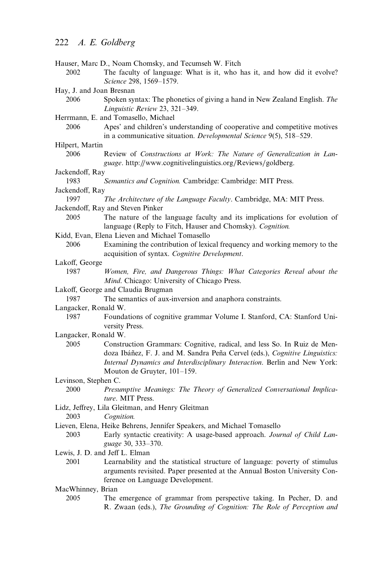|                          | Hauser, Marc D., Noam Chomsky, and Tecumseh W. Fitch                                                                                                                                    |
|--------------------------|-----------------------------------------------------------------------------------------------------------------------------------------------------------------------------------------|
| 2002                     | The faculty of language: What is it, who has it, and how did it evolve?<br>Science 298, 1569-1579.                                                                                      |
| Hay, J. and Joan Bresnan |                                                                                                                                                                                         |
| 2006                     | Spoken syntax: The phonetics of giving a hand in New Zealand English. The<br>Linguistic Review 23, 321-349.                                                                             |
|                          | Herrmann, E. and Tomasello, Michael                                                                                                                                                     |
| 2006                     | Apes' and children's understanding of cooperative and competitive motives<br>in a communicative situation. <i>Developmental Science</i> 9(5), 518–529.                                  |
| Hilpert, Martin          |                                                                                                                                                                                         |
| 2006                     | Review of Constructions at Work: The Nature of Generalization in Lan-<br><i>guage.</i> http://www.cognitivelinguistics.org/Reviews/goldberg.                                            |
| Jackendoff, Ray          |                                                                                                                                                                                         |
| 1983                     | Semantics and Cognition. Cambridge: Cambridge: MIT Press.                                                                                                                               |
| Jackendoff, Ray          |                                                                                                                                                                                         |
| 1997                     | The Architecture of the Language Faculty. Cambridge, MA: MIT Press.                                                                                                                     |
|                          | Jackendoff, Ray and Steven Pinker                                                                                                                                                       |
| 2005                     | The nature of the language faculty and its implications for evolution of<br>language (Reply to Fitch, Hauser and Chomsky). Cognition.                                                   |
|                          | Kidd, Evan, Elena Lieven and Michael Tomasello                                                                                                                                          |
| 2006                     | Examining the contribution of lexical frequency and working memory to the                                                                                                               |
|                          | acquisition of syntax. Cognitive Development.                                                                                                                                           |
| Lakoff, George           |                                                                                                                                                                                         |
| 1987                     | Women, Fire, and Dangerous Things: What Categories Reveal about the<br>Mind. Chicago: University of Chicago Press.                                                                      |
|                          | Lakoff, George and Claudia Brugman                                                                                                                                                      |
| 1987                     | The semantics of aux-inversion and anaphora constraints.                                                                                                                                |
| Langacker, Ronald W.     |                                                                                                                                                                                         |
| 1987                     | Foundations of cognitive grammar Volume I. Stanford, CA: Stanford Uni-<br>versity Press.                                                                                                |
| Langacker, Ronald W.     |                                                                                                                                                                                         |
| 2005                     | Construction Grammars: Cognitive, radical, and less So. In Ruiz de Men-                                                                                                                 |
|                          | doza Ibáñez, F. J. and M. Sandra Peña Cervel (eds.), Cognitive Linguistics:<br>Internal Dynamics and Interdisciplinary Interaction. Berlin and New York:<br>Mouton de Gruyter, 101-159. |
| Levinson, Stephen C.     |                                                                                                                                                                                         |
| 2000                     | Presumptive Meanings: The Theory of Generalized Conversational Implica-<br>ture. MIT Press.                                                                                             |
|                          | Lidz, Jeffrey, Lila Gleitman, and Henry Gleitman                                                                                                                                        |
| 2003                     | Cognition.                                                                                                                                                                              |
|                          | Lieven, Elena, Heike Behrens, Jennifer Speakers, and Michael Tomasello                                                                                                                  |
| 2003                     | Early syntactic creativity: A usage-based approach. Journal of Child Lan-<br>guage 30, 333-370.                                                                                         |
|                          | Lewis, J. D. and Jeff L. Elman                                                                                                                                                          |
| 2001                     | Learnability and the statistical structure of language: poverty of stimulus<br>arguments revisited. Paper presented at the Annual Boston University Con-                                |
|                          | ference on Language Development.                                                                                                                                                        |
| MacWhinney, Brian        |                                                                                                                                                                                         |
| 2005                     | The emergence of grammar from perspective taking. In Pecher, D. and                                                                                                                     |
|                          | R. Zwaan (eds.), The Grounding of Cognition: The Role of Perception and                                                                                                                 |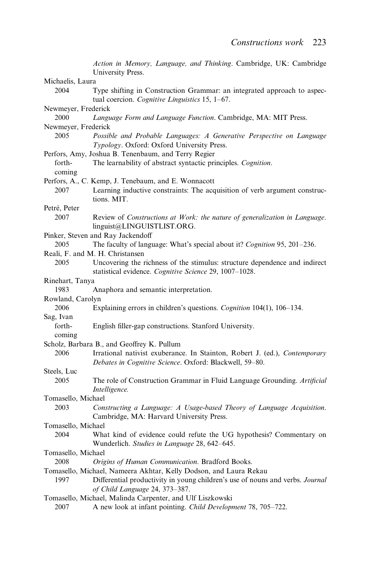|                                                                   | Action in Memory, Language, and Thinking. Cambridge, UK: Cambridge                                                                    |  |  |  |
|-------------------------------------------------------------------|---------------------------------------------------------------------------------------------------------------------------------------|--|--|--|
|                                                                   | University Press.                                                                                                                     |  |  |  |
| Michaelis, Laura                                                  |                                                                                                                                       |  |  |  |
| 2004                                                              | Type shifting in Construction Grammar: an integrated approach to aspec-<br>tual coercion. Cognitive Linguistics $15, 1-67$ .          |  |  |  |
| Newmeyer, Frederick                                               |                                                                                                                                       |  |  |  |
| 2000                                                              | Language Form and Language Function. Cambridge, MA: MIT Press.                                                                        |  |  |  |
| Newmeyer, Frederick                                               |                                                                                                                                       |  |  |  |
| 2005                                                              | Possible and Probable Languages: A Generative Perspective on Language<br>Typology. Oxford: Oxford University Press.                   |  |  |  |
|                                                                   | Perfors, Amy, Joshua B. Tenenbaum, and Terry Regier                                                                                   |  |  |  |
| forth-<br>coming                                                  | The learnability of abstract syntactic principles. Cognition.                                                                         |  |  |  |
|                                                                   | Perfors, A., C. Kemp, J. Tenebaum, and E. Wonnacott                                                                                   |  |  |  |
| 2007                                                              | Learning inductive constraints: The acquisition of verb argument construc-<br>tions. MIT.                                             |  |  |  |
| Petré, Peter                                                      |                                                                                                                                       |  |  |  |
| 2007                                                              | Review of <i>Constructions at Work</i> : the nature of generalization in Language.<br>linguist@LINGUISTLIST.ORG.                      |  |  |  |
|                                                                   | Pinker, Steven and Ray Jackendoff                                                                                                     |  |  |  |
| 2005                                                              | The faculty of language: What's special about it? Cognition 95, 201-236.                                                              |  |  |  |
|                                                                   | Reali, F. and M. H. Christansen                                                                                                       |  |  |  |
| 2005                                                              | Uncovering the richness of the stimulus: structure dependence and indirect<br>statistical evidence. Cognitive Science 29, 1007-1028.  |  |  |  |
| Rinehart, Tanya                                                   |                                                                                                                                       |  |  |  |
| 1983                                                              | Anaphora and semantic interpretation.                                                                                                 |  |  |  |
| Rowland, Carolyn                                                  |                                                                                                                                       |  |  |  |
| 2006                                                              | Explaining errors in children's questions. Cognition 104(1), 106–134.                                                                 |  |  |  |
| Sag, Ivan                                                         |                                                                                                                                       |  |  |  |
| forth-                                                            | English filler-gap constructions. Stanford University.                                                                                |  |  |  |
| coming                                                            |                                                                                                                                       |  |  |  |
|                                                                   | Scholz, Barbara B., and Geoffrey K. Pullum                                                                                            |  |  |  |
| 2006                                                              | Irrational nativist exuberance. In Stainton, Robert J. (ed.), Contemporary<br>Debates in Cognitive Science. Oxford: Blackwell, 59-80. |  |  |  |
| Steels, Luc                                                       |                                                                                                                                       |  |  |  |
| 2005                                                              | The role of Construction Grammar in Fluid Language Grounding. Artificial<br>Intelligence.                                             |  |  |  |
| Tomasello, Michael                                                |                                                                                                                                       |  |  |  |
| 2003                                                              | Constructing a Language: A Usage-based Theory of Language Acquisition.<br>Cambridge, MA: Harvard University Press.                    |  |  |  |
| Tomasello, Michael                                                |                                                                                                                                       |  |  |  |
| 2004                                                              | What kind of evidence could refute the UG hypothesis? Commentary on                                                                   |  |  |  |
|                                                                   | Wunderlich. Studies in Language 28, 642-645.                                                                                          |  |  |  |
| Tomasello, Michael                                                |                                                                                                                                       |  |  |  |
| 2008                                                              | Origins of Human Communication. Bradford Books.                                                                                       |  |  |  |
| Tomasello, Michael, Nameera Akhtar, Kelly Dodson, and Laura Rekau |                                                                                                                                       |  |  |  |
| 1997                                                              | Differential productivity in young children's use of nouns and verbs. Journal<br>of Child Language 24, 373-387.                       |  |  |  |
| Tomasello, Michael, Malinda Carpenter, and Ulf Liszkowski         |                                                                                                                                       |  |  |  |
| 2007                                                              | A new look at infant pointing. Child Development 78, 705-722.                                                                         |  |  |  |